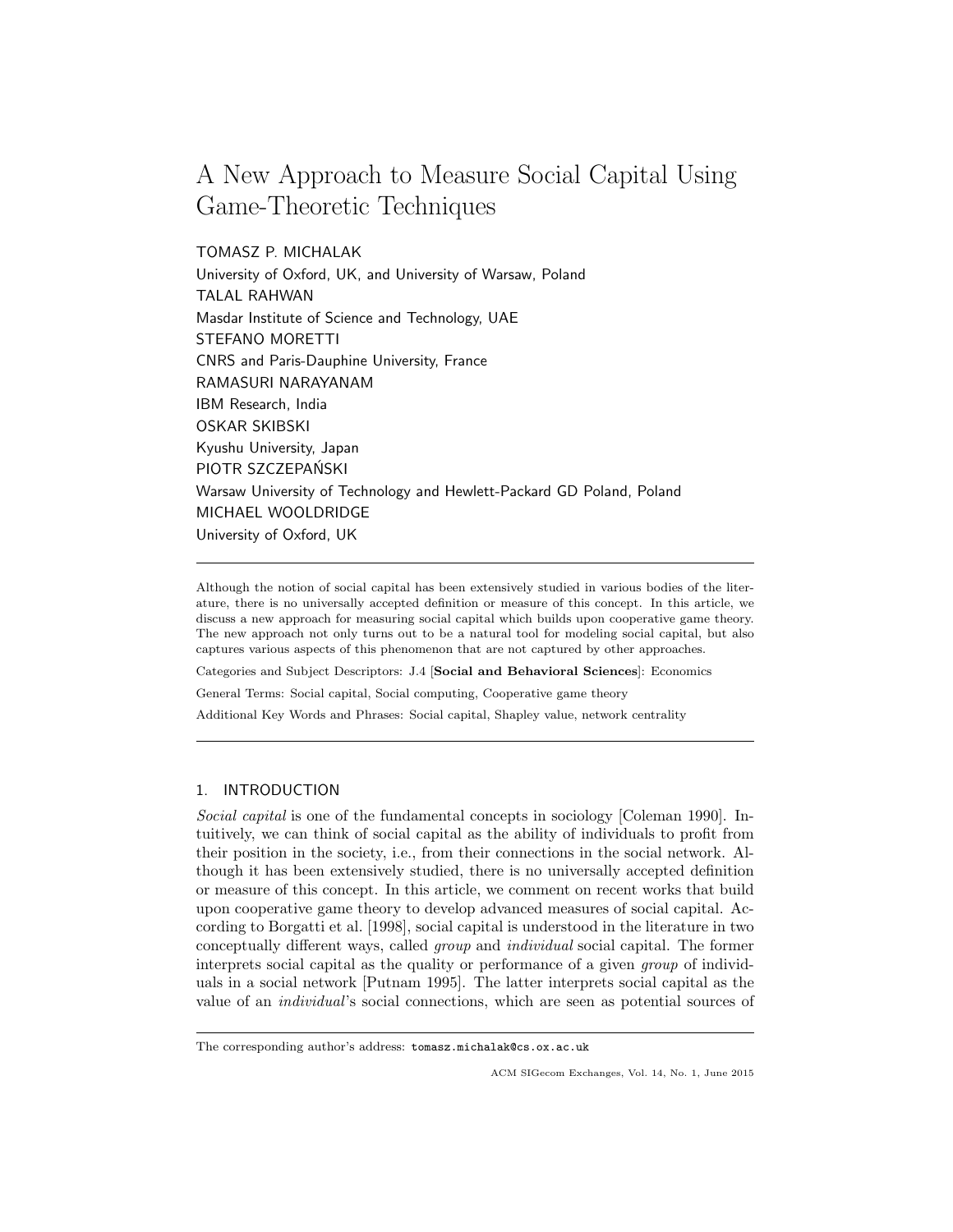# A New Approach to Measure Social Capital Using Game-Theoretic Techniques

TOMASZ P. MICHALAK

University of Oxford, UK, and University of Warsaw, Poland TALAL RAHWAN Masdar Institute of Science and Technology, UAE STEFANO MORETTI CNRS and Paris-Dauphine University, France RAMASURI NARAYANAM IBM Research, India OSKAR SKIBSKI Kyushu University, Japan PIOTR SZCZEPAŃSKI Warsaw University of Technology and Hewlett-Packard GD Poland, Poland MICHAEL WOOLDRIDGE University of Oxford, UK

Although the notion of social capital has been extensively studied in various bodies of the literature, there is no universally accepted definition or measure of this concept. In this article, we discuss a new approach for measuring social capital which builds upon cooperative game theory. The new approach not only turns out to be a natural tool for modeling social capital, but also captures various aspects of this phenomenon that are not captured by other approaches.

Categories and Subject Descriptors: J.4 [Social and Behavioral Sciences]: Economics

General Terms: Social capital, Social computing, Cooperative game theory

Additional Key Words and Phrases: Social capital, Shapley value, network centrality

# 1. INTRODUCTION

Social capital is one of the fundamental concepts in sociology [Coleman 1990]. Intuitively, we can think of social capital as the ability of individuals to profit from their position in the society, i.e., from their connections in the social network. Although it has been extensively studied, there is no universally accepted definition or measure of this concept. In this article, we comment on recent works that build upon cooperative game theory to develop advanced measures of social capital. According to Borgatti et al. [1998], social capital is understood in the literature in two conceptually different ways, called group and individual social capital. The former interprets social capital as the quality or performance of a given group of individuals in a social network [Putnam 1995]. The latter interprets social capital as the value of an individual's social connections, which are seen as potential sources of

The corresponding author's address: tomasz.michalak@cs.ox.ac.uk

ACM SIGecom Exchanges, Vol. 14, No. 1, June 2015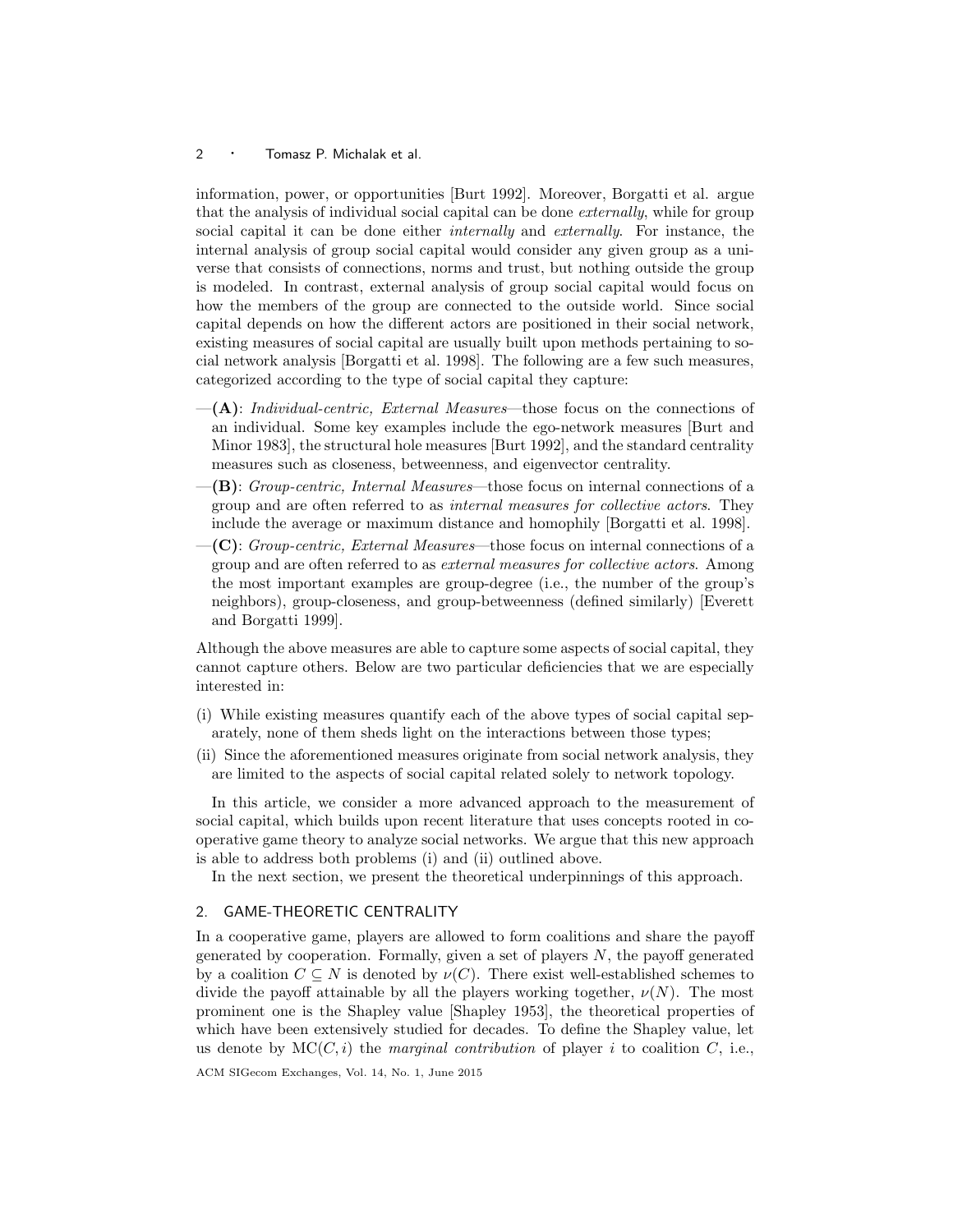## 2 · Tomasz P. Michalak et al.

information, power, or opportunities [Burt 1992]. Moreover, Borgatti et al. argue that the analysis of individual social capital can be done *externally*, while for group social capital it can be done either *internally* and *externally*. For instance, the internal analysis of group social capital would consider any given group as a universe that consists of connections, norms and trust, but nothing outside the group is modeled. In contrast, external analysis of group social capital would focus on how the members of the group are connected to the outside world. Since social capital depends on how the different actors are positioned in their social network, existing measures of social capital are usually built upon methods pertaining to social network analysis [Borgatti et al. 1998]. The following are a few such measures, categorized according to the type of social capital they capture:

- $-(\mathbf{A})$ : Individual-centric, External Measures—those focus on the connections of an individual. Some key examples include the ego-network measures [Burt and Minor 1983], the structural hole measures [Burt 1992], and the standard centrality measures such as closeness, betweenness, and eigenvector centrality.
- $-$ (B): *Group-centric, Internal Measures*—those focus on internal connections of a group and are often referred to as internal measures for collective actors. They include the average or maximum distance and homophily [Borgatti et al. 1998].
- $\mathcal{L}(\mathbf{C})$ : Group-centric, External Measures—those focus on internal connections of a group and are often referred to as external measures for collective actors. Among the most important examples are group-degree (i.e., the number of the group's neighbors), group-closeness, and group-betweenness (defined similarly) [Everett and Borgatti 1999].

Although the above measures are able to capture some aspects of social capital, they cannot capture others. Below are two particular deficiencies that we are especially interested in:

- (i) While existing measures quantify each of the above types of social capital separately, none of them sheds light on the interactions between those types;
- (ii) Since the aforementioned measures originate from social network analysis, they are limited to the aspects of social capital related solely to network topology.

In this article, we consider a more advanced approach to the measurement of social capital, which builds upon recent literature that uses concepts rooted in cooperative game theory to analyze social networks. We argue that this new approach is able to address both problems (i) and (ii) outlined above.

In the next section, we present the theoretical underpinnings of this approach.

## 2. GAME-THEORETIC CENTRALITY

In a cooperative game, players are allowed to form coalitions and share the payoff generated by cooperation. Formally, given a set of players  $N$ , the payoff generated by a coalition  $C \subseteq N$  is denoted by  $\nu(C)$ . There exist well-established schemes to divide the payoff attainable by all the players working together,  $\nu(N)$ . The most prominent one is the Shapley value [Shapley 1953], the theoretical properties of which have been extensively studied for decades. To define the Shapley value, let us denote by  $MC(C, i)$  the marginal contribution of player i to coalition C, i.e.,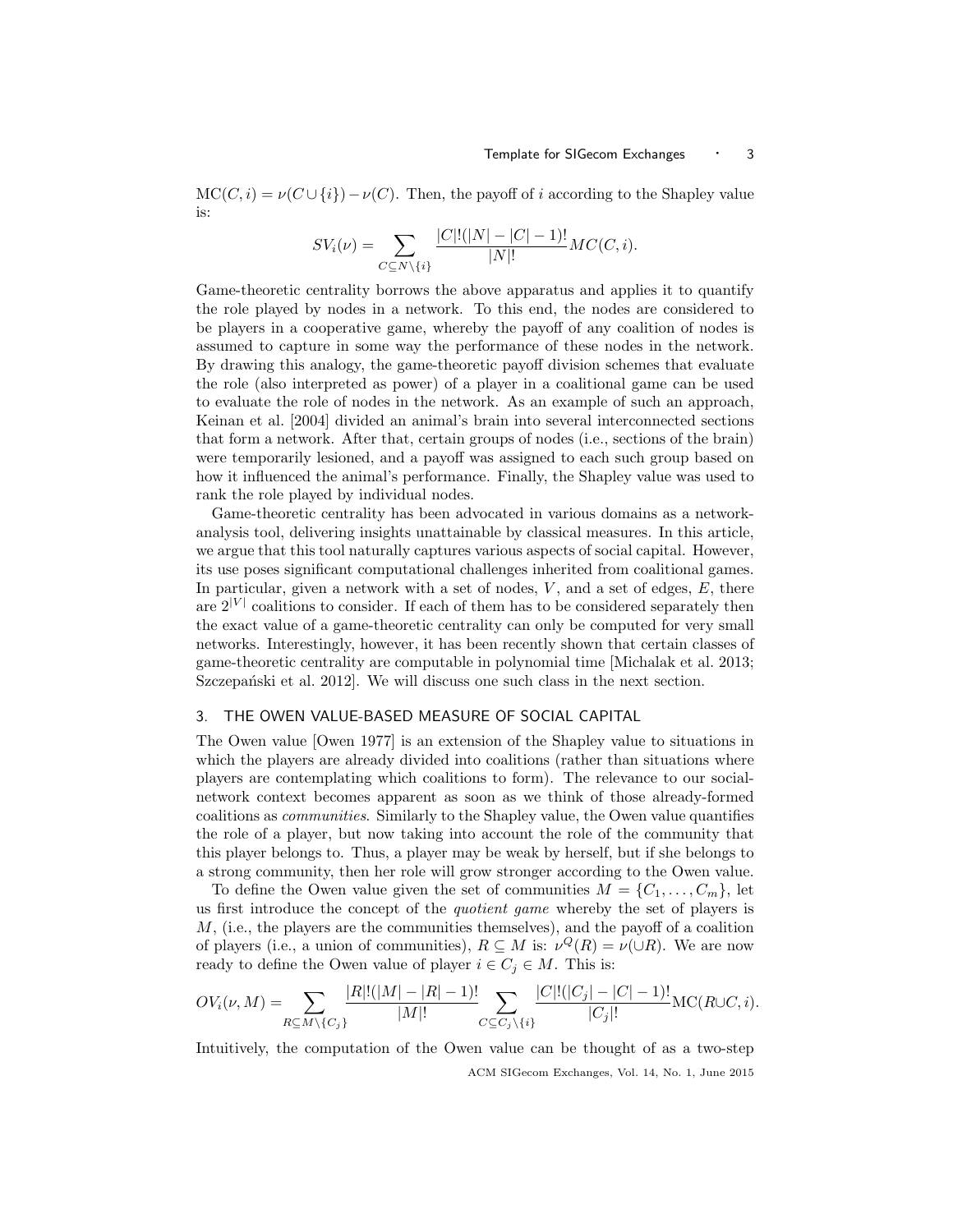$MC(C, i) = \nu(C \cup \{i\}) - \nu(C)$ . Then, the payoff of i according to the Shapley value is:

$$
SV_i(\nu) = \sum_{C \subseteq N \setminus \{i\}} \frac{|C|!(|N| - |C| - 1)!}{|N|!} MC(C, i).
$$

Game-theoretic centrality borrows the above apparatus and applies it to quantify the role played by nodes in a network. To this end, the nodes are considered to be players in a cooperative game, whereby the payoff of any coalition of nodes is assumed to capture in some way the performance of these nodes in the network. By drawing this analogy, the game-theoretic payoff division schemes that evaluate the role (also interpreted as power) of a player in a coalitional game can be used to evaluate the role of nodes in the network. As an example of such an approach, Keinan et al. [2004] divided an animal's brain into several interconnected sections that form a network. After that, certain groups of nodes (i.e., sections of the brain) were temporarily lesioned, and a payoff was assigned to each such group based on how it influenced the animal's performance. Finally, the Shapley value was used to rank the role played by individual nodes.

Game-theoretic centrality has been advocated in various domains as a networkanalysis tool, delivering insights unattainable by classical measures. In this article, we argue that this tool naturally captures various aspects of social capital. However, its use poses significant computational challenges inherited from coalitional games. In particular, given a network with a set of nodes,  $V$ , and a set of edges,  $E$ , there are  $2^{|V|}$  coalitions to consider. If each of them has to be considered separately then the exact value of a game-theoretic centrality can only be computed for very small networks. Interestingly, however, it has been recently shown that certain classes of game-theoretic centrality are computable in polynomial time [Michalak et al. 2013; Szczepański et al. 2012. We will discuss one such class in the next section.

#### 3. THE OWEN VALUE-BASED MEASURE OF SOCIAL CAPITAL

The Owen value [Owen 1977] is an extension of the Shapley value to situations in which the players are already divided into coalitions (rather than situations where players are contemplating which coalitions to form). The relevance to our socialnetwork context becomes apparent as soon as we think of those already-formed coalitions as communities. Similarly to the Shapley value, the Owen value quantifies the role of a player, but now taking into account the role of the community that this player belongs to. Thus, a player may be weak by herself, but if she belongs to a strong community, then her role will grow stronger according to the Owen value.

To define the Owen value given the set of communities  $M = \{C_1, \ldots, C_m\}$ , let us first introduce the concept of the quotient game whereby the set of players is  $M$ , (i.e., the players are the communities themselves), and the payoff of a coalition of players (i.e., a union of communities),  $R \subseteq M$  is:  $\nu^{Q}(R) = \nu(\cup R)$ . We are now ready to define the Owen value of player  $i \in C_j \in M$ . This is:

$$
OV_i(\nu, M) = \sum_{R \subseteq M \setminus \{C_j\}} \frac{|R|!(|M| - |R| - 1)!}{|M|!} \sum_{C \subseteq C_j \setminus \{i\}} \frac{|C|!(|C_j| - |C| - 1)!}{|C_j|!} \mathrm{MC}(R \cup C, i).
$$

Intuitively, the computation of the Owen value can be thought of as a two-step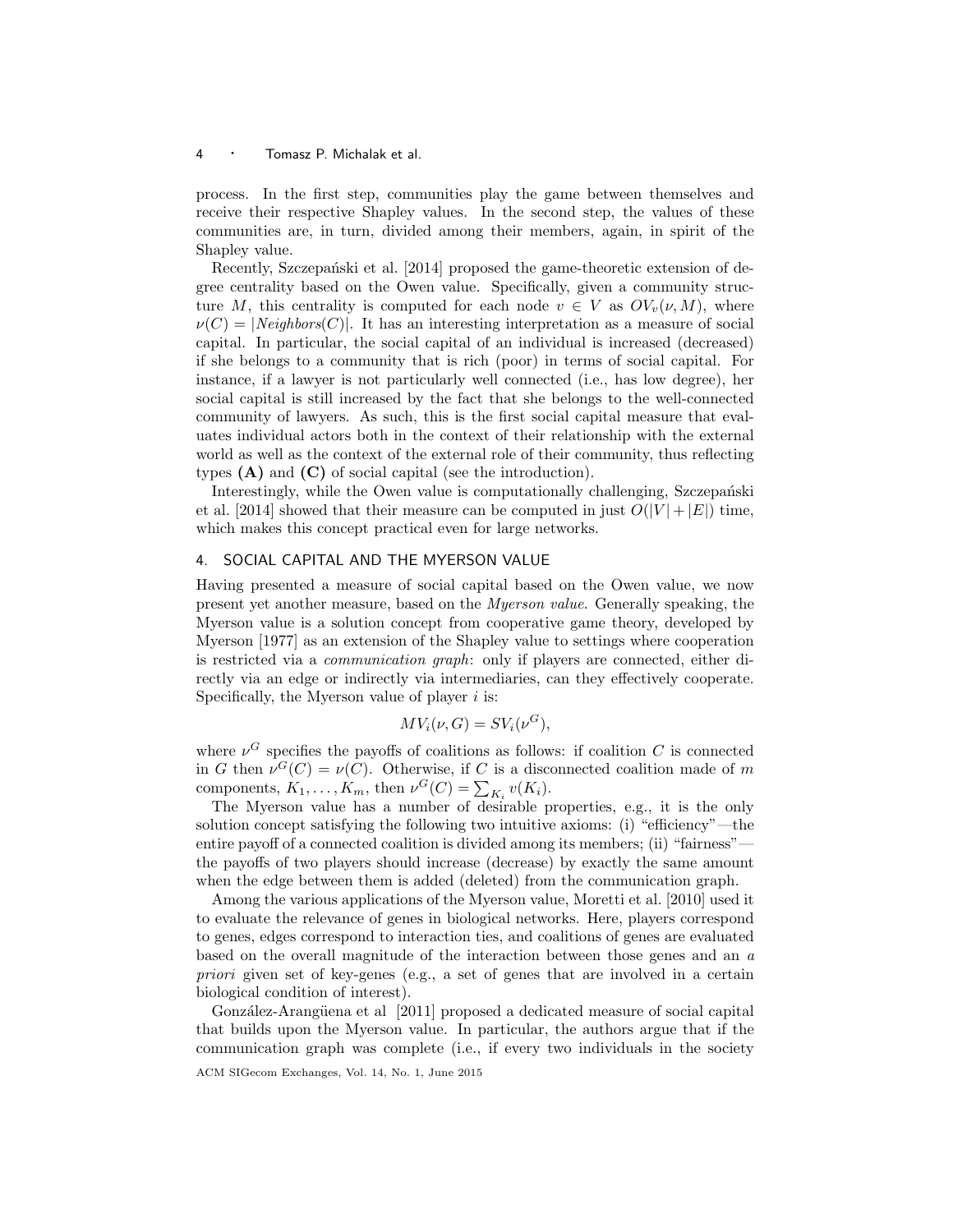## <sup>4</sup> · Tomasz P. Michalak et al.

process. In the first step, communities play the game between themselves and receive their respective Shapley values. In the second step, the values of these communities are, in turn, divided among their members, again, in spirit of the Shapley value.

Recently, Szczepański et al. [2014] proposed the game-theoretic extension of degree centrality based on the Owen value. Specifically, given a community structure M, this centrality is computed for each node  $v \in V$  as  $OV_v(\nu, M)$ , where  $\nu(C) = |Neighbors(C)|$ . It has an interesting interpretation as a measure of social capital. In particular, the social capital of an individual is increased (decreased) if she belongs to a community that is rich (poor) in terms of social capital. For instance, if a lawyer is not particularly well connected (i.e., has low degree), her social capital is still increased by the fact that she belongs to the well-connected community of lawyers. As such, this is the first social capital measure that evaluates individual actors both in the context of their relationship with the external world as well as the context of the external role of their community, thus reflecting types  $(A)$  and  $(C)$  of social capital (see the introduction).

Interestingly, while the Owen value is computationally challenging, Szczepański et al. [2014] showed that their measure can be computed in just  $O(|V| + |E|)$  time, which makes this concept practical even for large networks.

#### 4. SOCIAL CAPITAL AND THE MYERSON VALUE

Having presented a measure of social capital based on the Owen value, we now present yet another measure, based on the Myerson value. Generally speaking, the Myerson value is a solution concept from cooperative game theory, developed by Myerson [1977] as an extension of the Shapley value to settings where cooperation is restricted via a communication graph: only if players are connected, either directly via an edge or indirectly via intermediaries, can they effectively cooperate. Specifically, the Myerson value of player  $i$  is:

$$
MV_i(\nu, G) = SV_i(\nu^G),
$$

where  $\nu^G$  specifies the payoffs of coalitions as follows: if coalition C is connected in G then  $\nu^{G}(C) = \nu(C)$ . Otherwise, if C is a disconnected coalition made of m components,  $K_1, \ldots, K_m$ , then  $\nu^G(C) = \sum_{K_i} v(K_i)$ .

The Myerson value has a number of desirable properties, e.g., it is the only solution concept satisfying the following two intuitive axioms: (i) "efficiency"—the entire payoff of a connected coalition is divided among its members; (ii) "fairness" the payoffs of two players should increase (decrease) by exactly the same amount when the edge between them is added (deleted) from the communication graph.

Among the various applications of the Myerson value, Moretti et al. [2010] used it to evaluate the relevance of genes in biological networks. Here, players correspond to genes, edges correspond to interaction ties, and coalitions of genes are evaluated based on the overall magnitude of the interaction between those genes and an a priori given set of key-genes (e.g., a set of genes that are involved in a certain biological condition of interest).

González-Arangüena et al [2011] proposed a dedicated measure of social capital that builds upon the Myerson value. In particular, the authors argue that if the communication graph was complete (i.e., if every two individuals in the society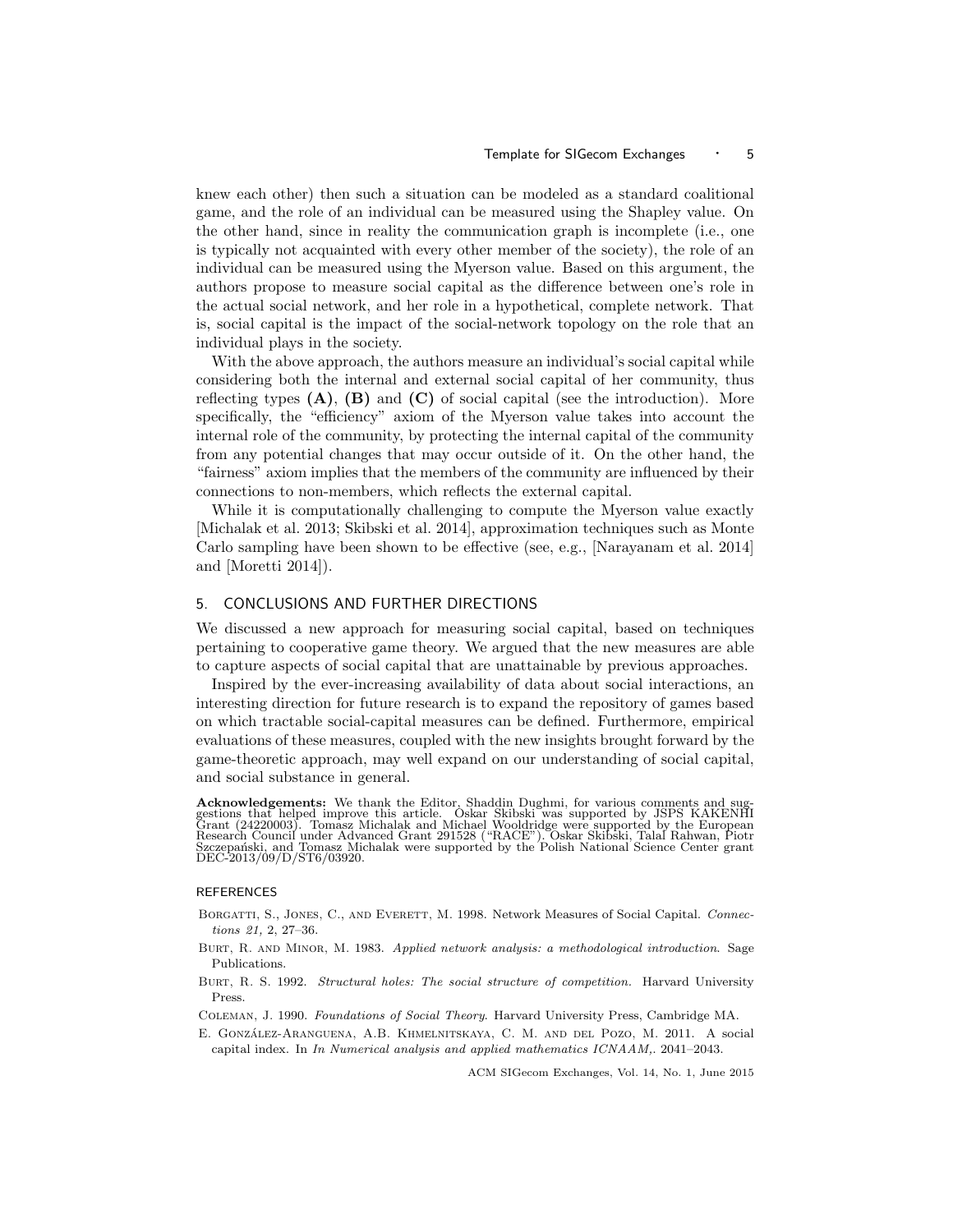knew each other) then such a situation can be modeled as a standard coalitional game, and the role of an individual can be measured using the Shapley value. On the other hand, since in reality the communication graph is incomplete (i.e., one is typically not acquainted with every other member of the society), the role of an individual can be measured using the Myerson value. Based on this argument, the authors propose to measure social capital as the difference between one's role in the actual social network, and her role in a hypothetical, complete network. That is, social capital is the impact of the social-network topology on the role that an individual plays in the society.

With the above approach, the authors measure an individual's social capital while considering both the internal and external social capital of her community, thus reflecting types  $(A)$ ,  $(B)$  and  $(C)$  of social capital (see the introduction). More specifically, the "efficiency" axiom of the Myerson value takes into account the internal role of the community, by protecting the internal capital of the community from any potential changes that may occur outside of it. On the other hand, the "fairness" axiom implies that the members of the community are influenced by their connections to non-members, which reflects the external capital.

While it is computationally challenging to compute the Myerson value exactly [Michalak et al. 2013; Skibski et al. 2014], approximation techniques such as Monte Carlo sampling have been shown to be effective (see, e.g., [Narayanam et al. 2014] and [Moretti 2014]).

#### 5. CONCLUSIONS AND FURTHER DIRECTIONS

We discussed a new approach for measuring social capital, based on techniques pertaining to cooperative game theory. We argued that the new measures are able to capture aspects of social capital that are unattainable by previous approaches.

Inspired by the ever-increasing availability of data about social interactions, an interesting direction for future research is to expand the repository of games based on which tractable social-capital measures can be defined. Furthermore, empirical evaluations of these measures, coupled with the new insights brought forward by the game-theoretic approach, may well expand on our understanding of social capital, and social substance in general.

Acknowledgements: We thank the Editor, Shaddin Dughmi, for various comments and suggestions that helped improve this article. Oskar Skibski was supported by JSPS KAKENHI Grant (2420003). Tomasz Michalak and Michael Wooldri

#### REFERENCES

- BORGATTI, S., JONES, C., AND EVERETT, M. 1998. Network Measures of Social Capital. Connections 21, 2, 27–36.
- BURT, R. AND MINOR, M. 1983. Applied network analysis: a methodological introduction. Sage Publications.
- Burt, R. S. 1992. Structural holes: The social structure of competition. Harvard University Press.
- Coleman, J. 1990. Foundations of Social Theory. Harvard University Press, Cambridge MA.
- E. GONZÁLEZ-ARANGUENA, A.B. KHMELNITSKAYA, C. M. AND DEL POZO, M. 2011. A social capital index. In In Numerical analysis and applied mathematics ICNAAM,. 2041–2043.